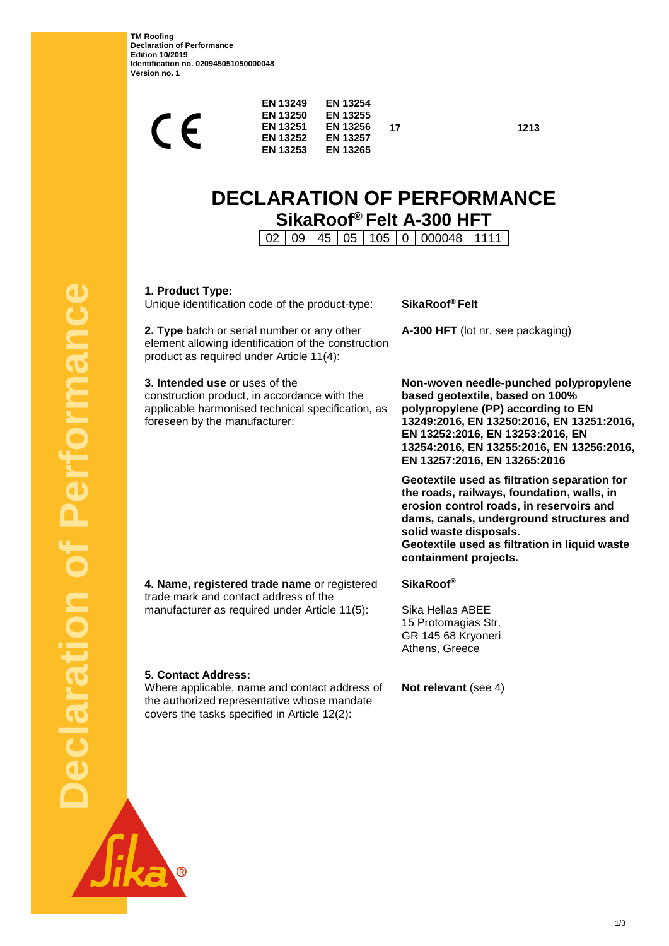**TM Roofing Declaration of Performance Edition 10/2019 Identification no. 020945051050000048 Version no. 1**

| <b>EN 13253</b><br><b>EN 13265</b> |
|------------------------------------|
|                                    |

**17 1213**

# **DECLARATION OF PERFORMANCE SikaRoof® Felt A-300 HFT**

02 09 45 05 105 0 000048 1111

**1. Product Type:**

Unique identification code of the product-type: **SikaRoof® Felt**

**2. Type** batch or serial number or any other element allowing identification of the construction product as required under Article 11(4):

**3. Intended use** or uses of the construction product, in accordance with the applicable harmonised technical specification, as foreseen by the manufacturer:

**A-300 HFT** (lot nr. see packaging)

**Non-woven needle-punched polypropylene based geotextile, based on 100% polypropylene (PP) according to EN 13249:2016, EN 13250:2016, EN 13251:2016, EN 13252:2016, EN 13253:2016, EN 13254:2016, EN 13255:2016, EN 13256:2016, EN 13257:2016, EN 13265:2016**

**Geotextile used as filtration separation for the roads, railways, foundation, walls, in erosion control roads, in reservoirs and dams, canals, underground structures and solid waste disposals. Geotextile used as filtration in liquid waste containment projects.**

**4. Name, registered trade name** or registered trade mark and contact address of the manufacturer as required under Article 11(5):

**SikaRoof®**

Sika Hellas ABEE 15 Protomagias Str. GR 145 68 Kryoneri Athens, Greece

**5. Contact Address:**

Where applicable, name and contact address of the authorized representative whose mandate covers the tasks specified in Article 12(2):

**Not relevant** (see 4)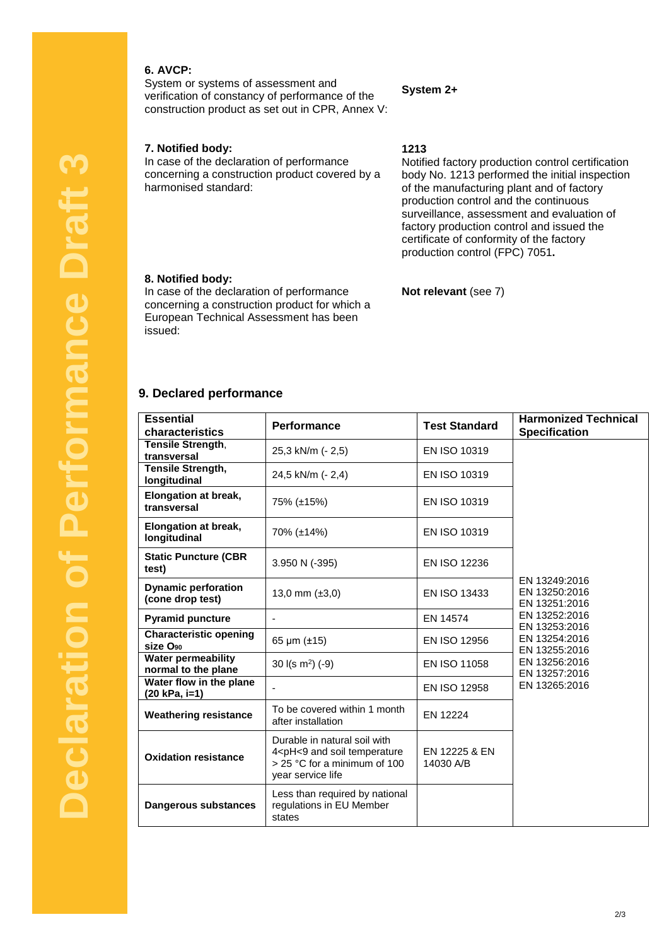## **6. AVCP:**

System or systems of assessment and verification of constancy of performance of the construction product as set out in CPR, Annex V:

#### **7. Notified body:**

In case of the declaration of performance concerning a construction product covered by a harmonised standard:

#### **System 2+**

**1213**

Notified factory production control certification body No. 1213 performed the initial inspection of the manufacturing plant and of factory production control and the continuous surveillance, assessment and evaluation of factory production control and issued the certificate of conformity of the factory production control (FPC) 7051**.**

#### **8. Notified body:**

In case of the declaration of performance concerning a construction product for which a European Technical Assessment has been issued:

## **Not relevant** (see 7)

## **9. Declared performance**

| <b>Essential</b><br>characteristics                   | <b>Performance</b>                                                                                                                                 | <b>Test Standard</b>       | <b>Harmonized Technical</b><br><b>Specification</b>                                                                                                                    |
|-------------------------------------------------------|----------------------------------------------------------------------------------------------------------------------------------------------------|----------------------------|------------------------------------------------------------------------------------------------------------------------------------------------------------------------|
| Tensile Strength,<br>transversal                      | 25,3 kN/m (- 2,5)                                                                                                                                  | EN ISO 10319               |                                                                                                                                                                        |
| Tensile Strength,<br>longitudinal                     | 24,5 kN/m (- 2,4)                                                                                                                                  | EN ISO 10319               |                                                                                                                                                                        |
| Elongation at break,<br>transversal                   | 75% (±15%)                                                                                                                                         | EN ISO 10319               | EN 13249:2016<br>EN 13250:2016<br>EN 13251:2016<br>EN 13252:2016<br>EN 13253:2016<br>EN 13254:2016<br>EN 13255:2016<br>EN 13256:2016<br>EN 13257:2016<br>EN 13265:2016 |
| Elongation at break,<br>longitudinal                  | 70% (±14%)                                                                                                                                         | EN ISO 10319               |                                                                                                                                                                        |
| <b>Static Puncture (CBR</b><br>test)                  | 3.950 N (-395)                                                                                                                                     | <b>EN ISO 12236</b>        |                                                                                                                                                                        |
| <b>Dynamic perforation</b><br>(cone drop test)        | 13,0 mm $(\pm 3,0)$                                                                                                                                | EN ISO 13433               |                                                                                                                                                                        |
| <b>Pyramid puncture</b>                               | ÷,                                                                                                                                                 | EN 14574                   |                                                                                                                                                                        |
| <b>Characteristic opening</b><br>size O <sub>90</sub> | 65 $\mu$ m ( $\pm$ 15)                                                                                                                             | EN ISO 12956               |                                                                                                                                                                        |
| <b>Water permeability</b><br>normal to the plane      | 30 $I(s \, m^2)$ (-9)                                                                                                                              | EN ISO 11058               |                                                                                                                                                                        |
| Water flow in the plane<br>(20 kPa, i=1)              |                                                                                                                                                    | <b>EN ISO 12958</b>        |                                                                                                                                                                        |
| <b>Weathering resistance</b>                          | To be covered within 1 month<br>after installation                                                                                                 | EN 12224                   |                                                                                                                                                                        |
| <b>Oxidation resistance</b>                           | Durable in natural soil with<br>4 <ph<9 and="" soil="" temperature<br=""><math>&gt;</math> 25 °C for a minimum of 100<br/>year service life</ph<9> | EN 12225 & EN<br>14030 A/B |                                                                                                                                                                        |
| Dangerous substances                                  | Less than required by national<br>regulations in EU Member<br>states                                                                               |                            |                                                                                                                                                                        |